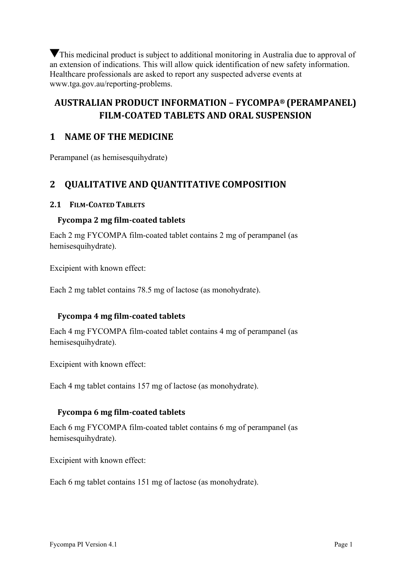This medicinal product is subject to additional monitoring in Australia due to approval of an extension of indications. This will allow quick identification of new safety information. Healthcare professionals are asked to report any suspected adverse events at www.tga.gov.au/reporting-problems.

# **AUSTRALIAN PRODUCT INFORMATION – FYCOMPA® (PERAMPANEL) FILM-COATED TABLETS AND ORAL SUSPENSION**

# **1 NAME OF THE MEDICINE**

Perampanel (as hemisesquihydrate)

# **2 QUALITATIVE AND QUANTITATIVE COMPOSITION**

#### **2.1 FILM-COATED TABLETS**

## **Fycompa 2 mg film-coated tablets**

Each 2 mg FYCOMPA film-coated tablet contains 2 mg of perampanel (as hemisesquihydrate).

Excipient with known effect:

Each 2 mg tablet contains 78.5 mg of lactose (as monohydrate).

### **Fycompa 4 mg film-coated tablets**

Each 4 mg FYCOMPA film-coated tablet contains 4 mg of perampanel (as hemisesquihydrate).

Excipient with known effect:

Each 4 mg tablet contains 157 mg of lactose (as monohydrate).

### **Fycompa 6 mg film-coated tablets**

Each 6 mg FYCOMPA film-coated tablet contains 6 mg of perampanel (as hemisesquihydrate).

Excipient with known effect:

Each 6 mg tablet contains 151 mg of lactose (as monohydrate).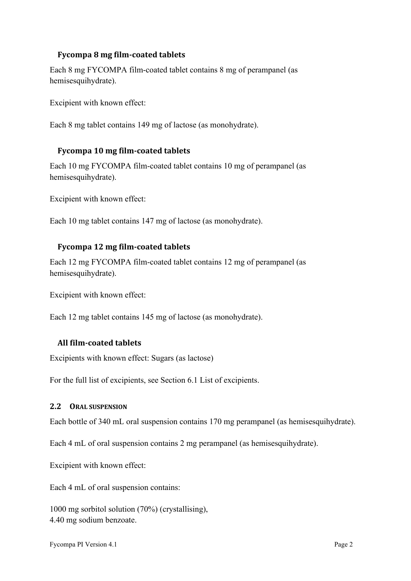## **Fycompa 8 mg film-coated tablets**

Each 8 mg FYCOMPA film-coated tablet contains 8 mg of perampanel (as hemisesquihydrate).

Excipient with known effect:

Each 8 mg tablet contains 149 mg of lactose (as monohydrate).

### **Fycompa 10 mg film-coated tablets**

Each 10 mg FYCOMPA film-coated tablet contains 10 mg of perampanel (as hemisesquihydrate).

Excipient with known effect:

Each 10 mg tablet contains 147 mg of lactose (as monohydrate).

#### **Fycompa 12 mg film-coated tablets**

Each 12 mg FYCOMPA film-coated tablet contains 12 mg of perampanel (as hemisesquihydrate).

Excipient with known effect:

Each 12 mg tablet contains 145 mg of lactose (as monohydrate).

#### **All film-coated tablets**

Excipients with known effect: Sugars (as lactose)

For the full list of excipients, see Section [6.1](#page-30-0) List of excipients.

#### **2.2 ORAL SUSPENSION**

Each bottle of 340 mL oral suspension contains 170 mg perampanel (as hemisesquihydrate).

Each 4 mL of oral suspension contains 2 mg perampanel (as hemisesquihydrate).

Excipient with known effect:

Each 4 mL of oral suspension contains:

1000 mg sorbitol solution (70%) (crystallising), 4.40 mg sodium benzoate.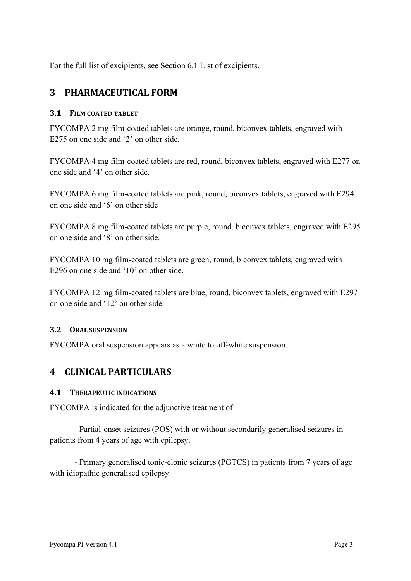For the full list of excipients, see Section [6.1](#page-30-0) List of excipients.

# **3 PHARMACEUTICAL FORM**

#### **3.1 FILM COATED TABLET**

FYCOMPA 2 mg film-coated tablets are orange, round, biconvex tablets, engraved with E275 on one side and '2' on other side.

FYCOMPA 4 mg film-coated tablets are red, round, biconvex tablets, engraved with E277 on one side and '4' on other side.

FYCOMPA 6 mg film-coated tablets are pink, round, biconvex tablets, engraved with E294 on one side and '6' on other side

FYCOMPA 8 mg film-coated tablets are purple, round, biconvex tablets, engraved with E295 on one side and '8' on other side.

FYCOMPA 10 mg film-coated tablets are green, round, biconvex tablets, engraved with E296 on one side and '10' on other side.

FYCOMPA 12 mg film-coated tablets are blue, round, biconvex tablets, engraved with E297 on one side and '12' on other side.

#### **3.2 ORAL SUSPENSION**

FYCOMPA oral suspension appears as a white to off-white suspension.

# **4 CLINICAL PARTICULARS**

#### **4.1 THERAPEUTIC INDICATIONS**

FYCOMPA is indicated for the adjunctive treatment of

- Partial-onset seizures (POS) with or without secondarily generalised seizures in patients from 4 years of age with epilepsy.

- Primary generalised tonic-clonic seizures (PGTCS) in patients from 7 years of age with idiopathic generalised epilepsy.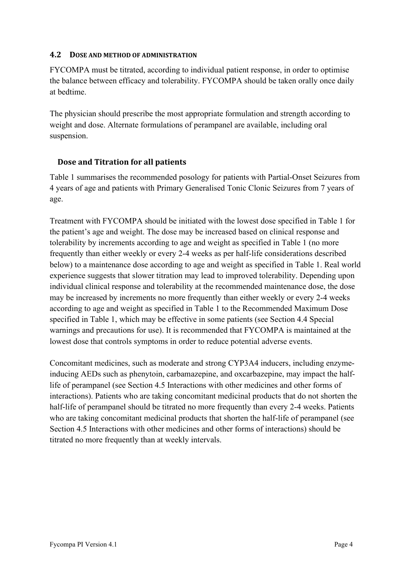#### <span id="page-3-0"></span>**4.2 DOSE AND METHOD OF ADMINISTRATION**

FYCOMPA must be titrated, according to individual patient response, in order to optimise the balance between efficacy and tolerability. FYCOMPA should be taken orally once daily at bedtime.

The physician should prescribe the most appropriate formulation and strength according to weight and dose. Alternate formulations of perampanel are available, including oral suspension.

### **Dose and Titration for all patients**

[Table 1](#page-4-0) summarises the recommended posology for patients with Partial-Onset Seizures from 4 years of age and patients with Primary Generalised Tonic Clonic Seizures from 7 years of age.

Treatment with FYCOMPA should be initiated with the lowest dose specified in [Table 1](#page-4-0) for the patient's age and weight. The dose may be increased based on clinical response and tolerability by increments according to age and weight as specified in [Table 1](#page-4-0) (no more frequently than either weekly or every 2-4 weeks as per half-life considerations described below) to a maintenance dose according to age and weight as specified in [Table 1.](#page-4-0) Real world experience suggests that slower titration may lead to improved tolerability. Depending upon individual clinical response and tolerability at the recommended maintenance dose, the dose may be increased by increments no more frequently than either weekly or every 2-4 weeks according to age and weight as specified in [Table 1](#page-4-0) to the Recommended Maximum Dose specified in [Table 1,](#page-4-0) which may be effective in some patients (see Section [4.4](#page-6-0) Special warnings and precautions for use). It is recommended that FYCOMPA is maintained at the lowest dose that controls symptoms in order to reduce potential adverse events.

Concomitant medicines, such as moderate and strong CYP3A4 inducers, including enzymeinducing AEDs such as phenytoin, carbamazepine, and oxcarbazepine, may impact the halflife of perampanel (see Section [4.5](#page-12-0) Interactions with other medicines and other forms of interactions). Patients who are taking concomitant medicinal products that do not shorten the half-life of perampanel should be titrated no more frequently than every 2-4 weeks. Patients who are taking concomitant medicinal products that shorten the half-life of perampanel (see Section [4.5](#page-12-0) Interactions with other medicines and other forms of interactions) should be titrated no more frequently than at weekly intervals.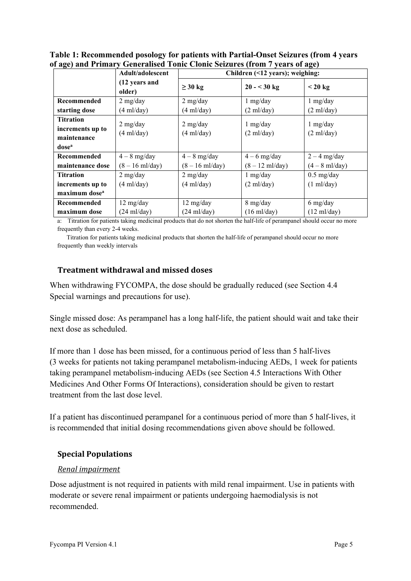<span id="page-4-0"></span>

| Table 1: Recommended posology for patients with Partial-Onset Seizures (from 4 years |
|--------------------------------------------------------------------------------------|
| of age) and Primary Generalised Tonic Clonic Seizures (from 7 years of age)          |

| $\cdots$                  | $\frac{1}{2}$ and $\frac{1}{2}$ and $\frac{1}{2}$ and $\frac{1}{2}$ and $\frac{1}{2}$ and $\frac{1}{2}$ and $\frac{1}{2}$<br>Adult/adolescent | Children (<12 years); weighing: |                           |                        |  |
|---------------------------|-----------------------------------------------------------------------------------------------------------------------------------------------|---------------------------------|---------------------------|------------------------|--|
|                           | (12 years and<br>older)                                                                                                                       | $\geq$ 30 kg                    | $20 - 30$ kg              | $< 20 \text{ kg}$      |  |
| Recommended               | $2$ mg/day                                                                                                                                    | $2$ mg/day                      | $1$ mg/day                | $1$ mg/day             |  |
| starting dose             | $(4 \text{ ml/day})$                                                                                                                          | $(4 \text{ ml/day})$            | $(2 \text{ ml/day})$      | $(2 \text{ ml/day})$   |  |
| <b>Titration</b>          | $2$ mg/day                                                                                                                                    | $2$ mg/day                      | $1$ mg/day                | $1$ mg/day             |  |
| increments up to          | $(4 \text{ ml/day})$                                                                                                                          | $(4 \text{ ml/day})$            | $(2 \text{ ml/day})$      | $(2 \text{ ml/day})$   |  |
| maintenance               |                                                                                                                                               |                                 |                           |                        |  |
| dose <sup>a</sup>         |                                                                                                                                               |                                 |                           |                        |  |
| Recommended               | $4-8$ mg/day                                                                                                                                  | $4-8$ mg/day                    | $4-6$ mg/day              | $2 - 4$ mg/day         |  |
| maintenance dose          | $(8 - 16 \text{ ml/day})$                                                                                                                     | $(8 - 16 \text{ ml/day})$       | $(8 - 12 \text{ ml/day})$ | $(4-8 \text{ ml/day})$ |  |
| <b>Titration</b>          | $2$ mg/day                                                                                                                                    | $2$ mg/day                      | $1$ mg/day                | $0.5$ mg/day           |  |
| increments up to          | $(4 \text{ ml/day})$                                                                                                                          | $(4 \text{ ml/day})$            | $(2 \text{ ml/day})$      | $(1 \text{ ml/day})$   |  |
| maximum dose <sup>a</sup> |                                                                                                                                               |                                 |                           |                        |  |
| Recommended               | 12 mg/day                                                                                                                                     | 12 mg/day                       | 8 mg/day                  | 6 mg/day               |  |
| maximum dose              | $(24 \text{ ml/day})$                                                                                                                         | $(24 \text{ ml/day})$           | $(16 \text{ ml/day})$     | $(12 \text{ ml/day})$  |  |

a: Titration for patients taking medicinal products that do not shorten the half-life of perampanel should occur no more frequently than every 2-4 weeks.

Titration for patients taking medicinal products that shorten the half-life of perampanel should occur no more frequently than weekly intervals

#### **Treatment withdrawal and missed doses**

When withdrawing FYCOMPA, the dose should be gradually reduced (see Section [4.4](#page-6-0) Special warnings and precautions for use).

Single missed dose: As perampanel has a long half-life, the patient should wait and take their next dose as scheduled.

If more than 1 dose has been missed, for a continuous period of less than 5 half-lives (3 weeks for patients not taking perampanel metabolism-inducing AEDs, 1 week for patients taking perampanel metabolism-inducing AEDs (see Section [4.5](#page-12-0) Interactions With Other Medicines And Other Forms Of Interactions), consideration should be given to restart treatment from the last dose level.

If a patient has discontinued perampanel for a continuous period of more than 5 half-lives, it is recommended that initial dosing recommendations given above should be followed.

### **Special Populations**

#### *Renal impairment*

Dose adjustment is not required in patients with mild renal impairment. Use in patients with moderate or severe renal impairment or patients undergoing haemodialysis is not recommended.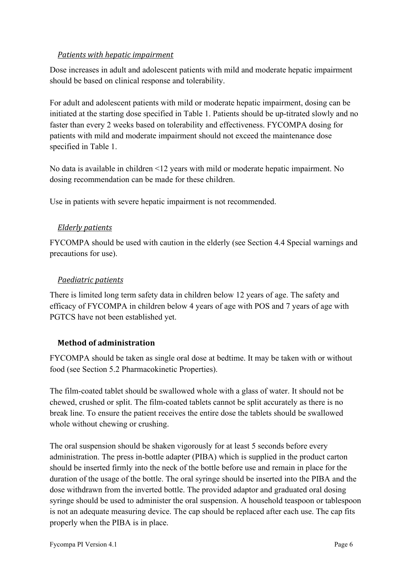### *Patients with hepatic impairment*

Dose increases in adult and adolescent patients with mild and moderate hepatic impairment should be based on clinical response and tolerability.

For adult and adolescent patients with mild or moderate hepatic impairment, dosing can be initiated at the starting dose specified in [Table 1.](#page-4-0) Patients should be up-titrated slowly and no faster than every 2 weeks based on tolerability and effectiveness. FYCOMPA dosing for patients with mild and moderate impairment should not exceed the maintenance dose specified in [Table 1.](#page-4-0)

No data is available in children <12 years with mild or moderate hepatic impairment. No dosing recommendation can be made for these children.

Use in patients with severe hepatic impairment is not recommended.

### *Elderly patients*

FYCOMPA should be used with caution in the elderly (see Section [4.4](#page-6-0) Special warnings and precautions for use).

#### *Paediatric patients*

There is limited long term safety data in children below 12 years of age. The safety and efficacy of FYCOMPA in children below 4 years of age with POS and 7 years of age with PGTCS have not been established yet.

### **Method of administration**

FYCOMPA should be taken as single oral dose at bedtime. It may be taken with or without food (see Section [5.2](#page-26-0) Pharmacokinetic Properties).

The film-coated tablet should be swallowed whole with a glass of water. It should not be chewed, crushed or split. The film-coated tablets cannot be split accurately as there is no break line. To ensure the patient receives the entire dose the tablets should be swallowed whole without chewing or crushing.

The oral suspension should be shaken vigorously for at least 5 seconds before every administration. The press in-bottle adapter (PIBA) which is supplied in the product carton should be inserted firmly into the neck of the bottle before use and remain in place for the duration of the usage of the bottle. The oral syringe should be inserted into the PIBA and the dose withdrawn from the inverted bottle. The provided adaptor and graduated oral dosing syringe should be used to administer the oral suspension. A household teaspoon or tablespoon is not an adequate measuring device. The cap should be replaced after each use. The cap fits properly when the PIBA is in place.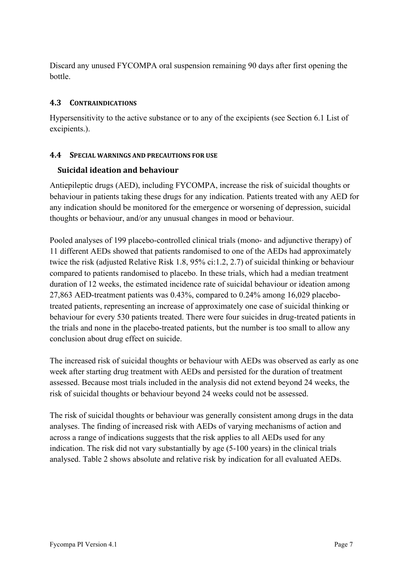Discard any unused FYCOMPA oral suspension remaining 90 days after first opening the bottle.

## **4.3 CONTRAINDICATIONS**

Hypersensitivity to the active substance or to any of the excipients (see Section [6.1](#page-30-0) List of excipients.).

## <span id="page-6-0"></span>**4.4 SPECIAL WARNINGS AND PRECAUTIONS FOR USE**

## **Suicidal ideation and behaviour**

Antiepileptic drugs (AED), including FYCOMPA, increase the risk of suicidal thoughts or behaviour in patients taking these drugs for any indication. Patients treated with any AED for any indication should be monitored for the emergence or worsening of depression, suicidal thoughts or behaviour, and/or any unusual changes in mood or behaviour.

Pooled analyses of 199 placebo-controlled clinical trials (mono- and adjunctive therapy) of 11 different AEDs showed that patients randomised to one of the AEDs had approximately twice the risk (adjusted Relative Risk 1.8, 95% ci:1.2, 2.7) of suicidal thinking or behaviour compared to patients randomised to placebo. In these trials, which had a median treatment duration of 12 weeks, the estimated incidence rate of suicidal behaviour or ideation among 27,863 AED-treatment patients was 0.43%, compared to 0.24% among 16,029 placebotreated patients, representing an increase of approximately one case of suicidal thinking or behaviour for every 530 patients treated. There were four suicides in drug-treated patients in the trials and none in the placebo-treated patients, but the number is too small to allow any conclusion about drug effect on suicide.

The increased risk of suicidal thoughts or behaviour with AEDs was observed as early as one week after starting drug treatment with AEDs and persisted for the duration of treatment assessed. Because most trials included in the analysis did not extend beyond 24 weeks, the risk of suicidal thoughts or behaviour beyond 24 weeks could not be assessed.

The risk of suicidal thoughts or behaviour was generally consistent among drugs in the data analyses. The finding of increased risk with AEDs of varying mechanisms of action and across a range of indications suggests that the risk applies to all AEDs used for any indication. The risk did not vary substantially by age (5-100 years) in the clinical trials analysed. [Table 2](#page-7-0) shows absolute and relative risk by indication for all evaluated AEDs.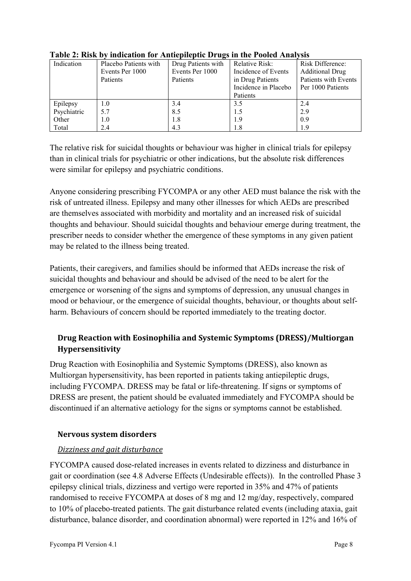| Indication  | Placebo Patients with | $\overline{ }$<br>Drug Patients with | <b>Relative Risk:</b> | Risk Difference:       |
|-------------|-----------------------|--------------------------------------|-----------------------|------------------------|
|             | Events Per 1000       | Events Per 1000                      | Incidence of Events   | <b>Additional Drug</b> |
|             | Patients              | Patients                             | in Drug Patients      | Patients with Events   |
|             |                       |                                      | Incidence in Placebo  | Per 1000 Patients      |
|             |                       |                                      | Patients              |                        |
| Epilepsy    | $1.0\,$               | 3.4                                  | 3.5                   | 2.4                    |
| Psychiatric | 5.7                   | 8.5                                  | 1.5                   | 2.9                    |
| Other       | 1.0                   | 1.8                                  | 1.9                   | 0.9                    |
| Total       | 2.4                   | 4.3                                  | 1.8                   | 1.9                    |

<span id="page-7-0"></span>**Table 2: Risk by indication for Antiepileptic Drugs in the Pooled Analysis**

The relative risk for suicidal thoughts or behaviour was higher in clinical trials for epilepsy than in clinical trials for psychiatric or other indications, but the absolute risk differences were similar for epilepsy and psychiatric conditions.

Anyone considering prescribing FYCOMPA or any other AED must balance the risk with the risk of untreated illness. Epilepsy and many other illnesses for which AEDs are prescribed are themselves associated with morbidity and mortality and an increased risk of suicidal thoughts and behaviour. Should suicidal thoughts and behaviour emerge during treatment, the prescriber needs to consider whether the emergence of these symptoms in any given patient may be related to the illness being treated.

Patients, their caregivers, and families should be informed that AEDs increase the risk of suicidal thoughts and behaviour and should be advised of the need to be alert for the emergence or worsening of the signs and symptoms of depression, any unusual changes in mood or behaviour, or the emergence of suicidal thoughts, behaviour, or thoughts about selfharm. Behaviours of concern should be reported immediately to the treating doctor.

# **Drug Reaction with Eosinophilia and Systemic Symptoms (DRESS)/Multiorgan Hypersensitivity**

Drug Reaction with Eosinophilia and Systemic Symptoms (DRESS), also known as Multiorgan hypersensitivity, has been reported in patients taking antiepileptic drugs, including FYCOMPA. DRESS may be fatal or life-threatening. If signs or symptoms of DRESS are present, the patient should be evaluated immediately and FYCOMPA should be discontinued if an alternative aetiology for the signs or symptoms cannot be established.

# **Nervous system disorders**

# *Dizziness and gait disturbance*

FYCOMPA caused dose-related increases in events related to dizziness and disturbance in gait or coordination (see [4.8](#page-16-0) Adverse Effects (Undesirable effects)). In the controlled Phase 3 epilepsy clinical trials, dizziness and vertigo were reported in 35% and 47% of patients randomised to receive FYCOMPA at doses of 8 mg and 12 mg/day, respectively, compared to 10% of placebo-treated patients. The gait disturbance related events (including ataxia, gait disturbance, balance disorder, and coordination abnormal) were reported in 12% and 16% of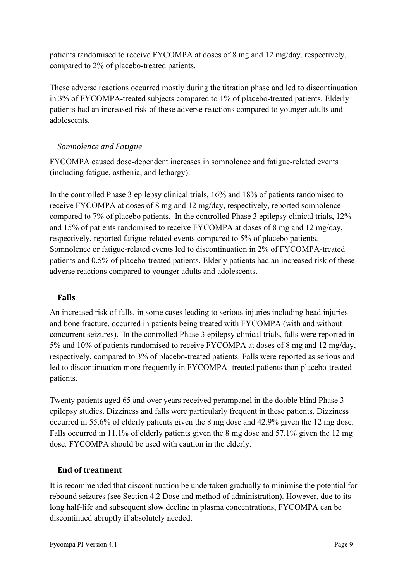patients randomised to receive FYCOMPA at doses of 8 mg and 12 mg/day, respectively, compared to 2% of placebo-treated patients.

These adverse reactions occurred mostly during the titration phase and led to discontinuation in 3% of FYCOMPA-treated subjects compared to 1% of placebo-treated patients. Elderly patients had an increased risk of these adverse reactions compared to younger adults and adolescents.

## *Somnolence and Fatigue*

FYCOMPA caused dose-dependent increases in somnolence and fatigue-related events (including fatigue, asthenia, and lethargy).

In the controlled Phase 3 epilepsy clinical trials, 16% and 18% of patients randomised to receive FYCOMPA at doses of 8 mg and 12 mg/day, respectively, reported somnolence compared to 7% of placebo patients. In the controlled Phase 3 epilepsy clinical trials, 12% and 15% of patients randomised to receive FYCOMPA at doses of 8 mg and 12 mg/day, respectively, reported fatigue-related events compared to 5% of placebo patients. Somnolence or fatigue-related events led to discontinuation in 2% of FYCOMPA-treated patients and 0.5% of placebo-treated patients. Elderly patients had an increased risk of these adverse reactions compared to younger adults and adolescents.

# **Falls**

An increased risk of falls, in some cases leading to serious injuries including head injuries and bone fracture, occurred in patients being treated with FYCOMPA (with and without concurrent seizures). In the controlled Phase 3 epilepsy clinical trials, falls were reported in 5% and 10% of patients randomised to receive FYCOMPA at doses of 8 mg and 12 mg/day, respectively, compared to 3% of placebo-treated patients. Falls were reported as serious and led to discontinuation more frequently in FYCOMPA -treated patients than placebo-treated patients.

Twenty patients aged 65 and over years received perampanel in the double blind Phase 3 epilepsy studies. Dizziness and falls were particularly frequent in these patients. Dizziness occurred in 55.6% of elderly patients given the 8 mg dose and 42.9% given the 12 mg dose. Falls occurred in 11.1% of elderly patients given the 8 mg dose and 57.1% given the 12 mg dose. FYCOMPA should be used with caution in the elderly.

### **End of treatment**

It is recommended that discontinuation be undertaken gradually to minimise the potential for rebound seizures (see Section [4.2](#page-3-0) Dose and method of administration). However, due to its long half-life and subsequent slow decline in plasma concentrations, FYCOMPA can be discontinued abruptly if absolutely needed.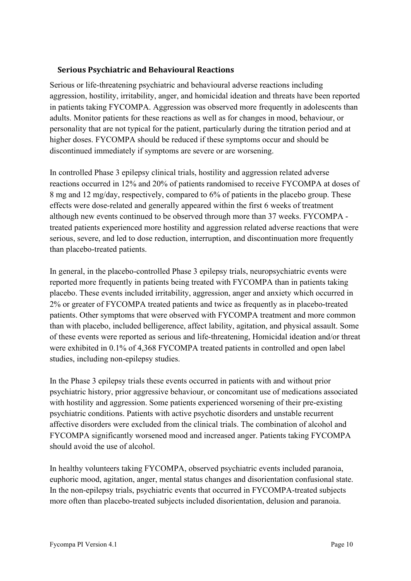## **Serious Psychiatric and Behavioural Reactions**

Serious or life-threatening psychiatric and behavioural adverse reactions including aggression, hostility, irritability, anger, and homicidal ideation and threats have been reported in patients taking FYCOMPA. Aggression was observed more frequently in adolescents than adults. Monitor patients for these reactions as well as for changes in mood, behaviour, or personality that are not typical for the patient, particularly during the titration period and at higher doses. FYCOMPA should be reduced if these symptoms occur and should be discontinued immediately if symptoms are severe or are worsening.

In controlled Phase 3 epilepsy clinical trials, hostility and aggression related adverse reactions occurred in 12% and 20% of patients randomised to receive FYCOMPA at doses of 8 mg and 12 mg/day, respectively, compared to 6% of patients in the placebo group. These effects were dose-related and generally appeared within the first 6 weeks of treatment although new events continued to be observed through more than 37 weeks. FYCOMPA treated patients experienced more hostility and aggression related adverse reactions that were serious, severe, and led to dose reduction, interruption, and discontinuation more frequently than placebo-treated patients.

In general, in the placebo-controlled Phase 3 epilepsy trials, neuropsychiatric events were reported more frequently in patients being treated with FYCOMPA than in patients taking placebo. These events included irritability, aggression, anger and anxiety which occurred in 2% or greater of FYCOMPA treated patients and twice as frequently as in placebo-treated patients. Other symptoms that were observed with FYCOMPA treatment and more common than with placebo, included belligerence, affect lability, agitation, and physical assault. Some of these events were reported as serious and life-threatening, Homicidal ideation and/or threat were exhibited in 0.1% of 4,368 FYCOMPA treated patients in controlled and open label studies, including non-epilepsy studies.

In the Phase 3 epilepsy trials these events occurred in patients with and without prior psychiatric history, prior aggressive behaviour, or concomitant use of medications associated with hostility and aggression. Some patients experienced worsening of their pre-existing psychiatric conditions. Patients with active psychotic disorders and unstable recurrent affective disorders were excluded from the clinical trials. The combination of alcohol and FYCOMPA significantly worsened mood and increased anger. Patients taking FYCOMPA should avoid the use of alcohol.

In healthy volunteers taking FYCOMPA, observed psychiatric events included paranoia, euphoric mood, agitation, anger, mental status changes and disorientation confusional state. In the non-epilepsy trials, psychiatric events that occurred in FYCOMPA-treated subjects more often than placebo-treated subjects included disorientation, delusion and paranoia.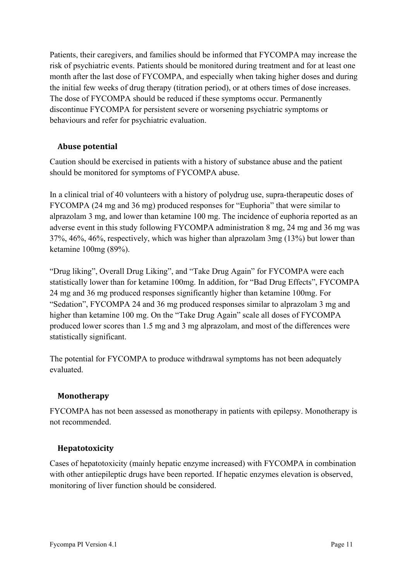Patients, their caregivers, and families should be informed that FYCOMPA may increase the risk of psychiatric events. Patients should be monitored during treatment and for at least one month after the last dose of FYCOMPA, and especially when taking higher doses and during the initial few weeks of drug therapy (titration period), or at others times of dose increases. The dose of FYCOMPA should be reduced if these symptoms occur. Permanently discontinue FYCOMPA for persistent severe or worsening psychiatric symptoms or behaviours and refer for psychiatric evaluation.

# **Abuse potential**

Caution should be exercised in patients with a history of substance abuse and the patient should be monitored for symptoms of FYCOMPA abuse.

In a clinical trial of 40 volunteers with a history of polydrug use, supra-therapeutic doses of FYCOMPA (24 mg and 36 mg) produced responses for "Euphoria" that were similar to alprazolam 3 mg, and lower than ketamine 100 mg. The incidence of euphoria reported as an adverse event in this study following FYCOMPA administration 8 mg, 24 mg and 36 mg was 37%, 46%, 46%, respectively, which was higher than alprazolam 3mg (13%) but lower than ketamine 100mg (89%).

"Drug liking", Overall Drug Liking", and "Take Drug Again" for FYCOMPA were each statistically lower than for ketamine 100mg. In addition, for "Bad Drug Effects", FYCOMPA 24 mg and 36 mg produced responses significantly higher than ketamine 100mg. For "Sedation", FYCOMPA 24 and 36 mg produced responses similar to alprazolam 3 mg and higher than ketamine 100 mg. On the "Take Drug Again" scale all doses of FYCOMPA produced lower scores than 1.5 mg and 3 mg alprazolam, and most of the differences were statistically significant.

The potential for FYCOMPA to produce withdrawal symptoms has not been adequately evaluated.

### **Monotherapy**

FYCOMPA has not been assessed as monotherapy in patients with epilepsy. Monotherapy is not recommended.

### **Hepatotoxicity**

Cases of hepatotoxicity (mainly hepatic enzyme increased) with FYCOMPA in combination with other antiepileptic drugs have been reported. If hepatic enzymes elevation is observed, monitoring of liver function should be considered.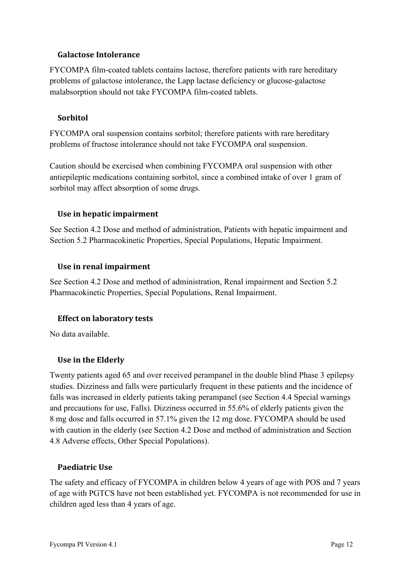### **Galactose Intolerance**

FYCOMPA film-coated tablets contains lactose, therefore patients with rare hereditary problems of galactose intolerance, the Lapp lactase deficiency or glucose-galactose malabsorption should not take FYCOMPA film-coated tablets.

#### **Sorbitol**

FYCOMPA oral suspension contains sorbitol; therefore patients with rare hereditary problems of fructose intolerance should not take FYCOMPA oral suspension.

Caution should be exercised when combining FYCOMPA oral suspension with other antiepileptic medications containing sorbitol, since a combined intake of over 1 gram of sorbitol may affect absorption of some drugs.

### **Use in hepatic impairment**

See Section [4.2](#page-3-0) Dose and method of administration, Patients with hepatic impairment and Section [5.2](#page-26-0) Pharmacokinetic Properties, Special Populations, Hepatic Impairment.

#### **Use in renal impairment**

See Section [4.2](#page-3-0) Dose and method of administration, Renal impairment and Section [5.2](#page-26-0) Pharmacokinetic Properties, Special Populations, Renal Impairment.

### **Effect on laboratory tests**

No data available.

#### **Use in the Elderly**

Twenty patients aged 65 and over received perampanel in the double blind Phase 3 epilepsy studies. Dizziness and falls were particularly frequent in these patients and the incidence of falls was increased in elderly patients taking perampanel (see Section [4.4](#page-6-0) Special warnings and precautions for use, Falls). Dizziness occurred in 55.6% of elderly patients given the 8 mg dose and falls occurred in 57.1% given the 12 mg dose. FYCOMPA should be used with caution in the elderly (see Section [4.2](#page-3-0) Dose and method of administration and Section [4.8](#page-16-0) Adverse effects, Other Special Populations).

#### **Paediatric Use**

The safety and efficacy of FYCOMPA in children below 4 years of age with POS and 7 years of age with PGTCS have not been established yet. FYCOMPA is not recommended for use in children aged less than 4 years of age.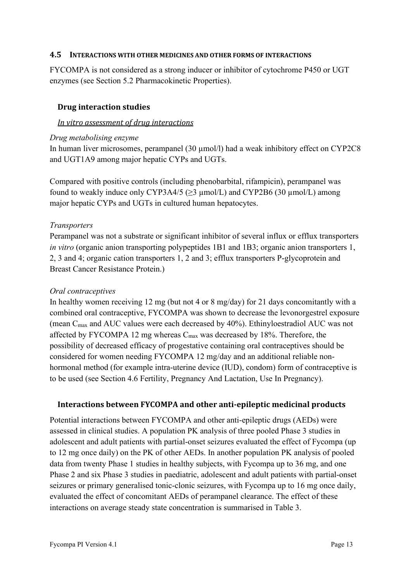#### <span id="page-12-0"></span>**4.5 INTERACTIONS WITH OTHER MEDICINES AND OTHER FORMS OF INTERACTIONS**

FYCOMPA is not considered as a strong inducer or inhibitor of cytochrome P450 or UGT enzymes (see Section [5.2](#page-26-0) Pharmacokinetic Properties).

#### **Drug interaction studies**

#### *In vitro assessment of drug interactions*

#### *Drug metabolising enzyme*

In human liver microsomes, perampanel (30  $\mu$ mol/l) had a weak inhibitory effect on CYP2C8 and UGT1A9 among major hepatic CYPs and UGTs.

Compared with positive controls (including phenobarbital, rifampicin), perampanel was found to weakly induce only CYP3A4/5 ( $\geq$ 3 µmol/L) and CYP2B6 (30 µmol/L) among major hepatic CYPs and UGTs in cultured human hepatocytes.

#### *Transporters*

Perampanel was not a substrate or significant inhibitor of several influx or efflux transporters *in vitro* (organic anion transporting polypeptides 1B1 and 1B3; organic anion transporters 1, 2, 3 and 4; organic cation transporters 1, 2 and 3; efflux transporters P-glycoprotein and Breast Cancer Resistance Protein.)

#### *Oral contraceptives*

In healthy women receiving 12 mg (but not 4 or 8 mg/day) for 21 days concomitantly with a combined oral contraceptive, FYCOMPA was shown to decrease the levonorgestrel exposure (mean Cmax and AUC values were each decreased by 40%). Ethinyloestradiol AUC was not affected by FYCOMPA 12 mg whereas  $C_{\text{max}}$  was decreased by 18%. Therefore, the possibility of decreased efficacy of progestative containing oral contraceptives should be considered for women needing FYCOMPA 12 mg/day and an additional reliable nonhormonal method (for example intra-uterine device (IUD), condom) form of contraceptive is to be used (see Section [4.6](#page-15-0) Fertility, Pregnancy And Lactation, Use In Pregnancy).

### **Interactions between FYCOMPA and other anti-epileptic medicinal products**

Potential interactions between FYCOMPA and other anti-epileptic drugs (AEDs) were assessed in clinical studies. A population PK analysis of three pooled Phase 3 studies in adolescent and adult patients with partial-onset seizures evaluated the effect of Fycompa (up to 12 mg once daily) on the PK of other AEDs. In another population PK analysis of pooled data from twenty Phase 1 studies in healthy subjects, with Fycompa up to 36 mg, and one Phase 2 and six Phase 3 studies in paediatric, adolescent and adult patients with partial-onset seizures or primary generalised tonic-clonic seizures, with Fycompa up to 16 mg once daily, evaluated the effect of concomitant AEDs of perampanel clearance. The effect of these interactions on average steady state concentration is summarised in [Table 3.](#page-13-0)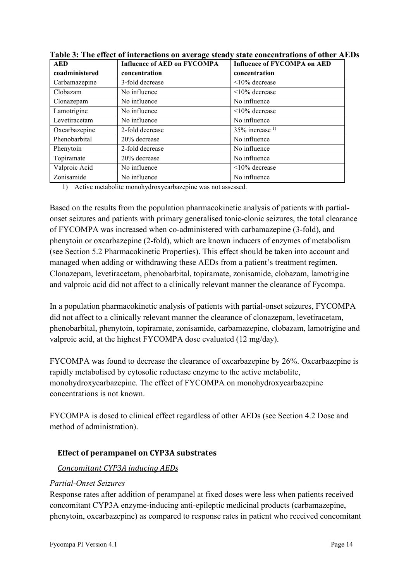| <b>AED</b>     | <b>Influence of AED on FYCOMPA</b> | <b>Influence of FYCOMPA on AED</b> |
|----------------|------------------------------------|------------------------------------|
| coadministered | concentration                      | concentration                      |
| Carbamazepine  | 3-fold decrease                    | $\leq$ 10% decrease                |
| Clobazam       | No influence                       | $\leq 10\%$ decrease               |
| Clonazepam     | No influence                       | No influence                       |
| Lamotrigine    | No influence                       | $\leq 10\%$ decrease               |
| Levetiracetam  | No influence                       | No influence                       |
| Oxcarbazepine  | 2-fold decrease                    | $35\%$ increase <sup>1)</sup>      |
| Phenobarbital  | 20% decrease                       | No influence                       |
| Phenytoin      | 2-fold decrease                    | No influence                       |
| Topiramate     | 20% decrease                       | No influence                       |
| Valproic Acid  | No influence                       | $\leq$ 10% decrease                |
| Zonisamide     | No influence                       | No influence                       |

<span id="page-13-0"></span>**Table 3: The effect of interactions on average steady state concentrations of other AEDs**

1) Active metabolite monohydroxycarbazepine was not assessed.

Based on the results from the population pharmacokinetic analysis of patients with partialonset seizures and patients with primary generalised tonic-clonic seizures, the total clearance of FYCOMPA was increased when co-administered with carbamazepine (3-fold), and phenytoin or oxcarbazepine (2-fold), which are known inducers of enzymes of metabolism (see Section [5.2](#page-26-0) Pharmacokinetic Properties). This effect should be taken into account and managed when adding or withdrawing these AEDs from a patient's treatment regimen. Clonazepam, levetiracetam, phenobarbital, topiramate, zonisamide, clobazam, lamotrigine and valproic acid did not affect to a clinically relevant manner the clearance of Fycompa.

In a population pharmacokinetic analysis of patients with partial-onset seizures, FYCOMPA did not affect to a clinically relevant manner the clearance of clonazepam, levetiracetam, phenobarbital, phenytoin, topiramate, zonisamide, carbamazepine, clobazam, lamotrigine and valproic acid, at the highest FYCOMPA dose evaluated (12 mg/day).

FYCOMPA was found to decrease the clearance of oxcarbazepine by 26%. Oxcarbazepine is rapidly metabolised by cytosolic reductase enzyme to the active metabolite, monohydroxycarbazepine. The effect of FYCOMPA on monohydroxycarbazepine concentrations is not known.

FYCOMPA is dosed to clinical effect regardless of other AEDs (see Section [4.2](#page-3-0) Dose and method of administration).

# **Effect of perampanel on CYP3A substrates**

# *Concomitant CYP3A inducing AEDs*

### *Partial-Onset Seizures*

Response rates after addition of perampanel at fixed doses were less when patients received concomitant CYP3A enzyme-inducing anti-epileptic medicinal products (carbamazepine, phenytoin, oxcarbazepine) as compared to response rates in patient who received concomitant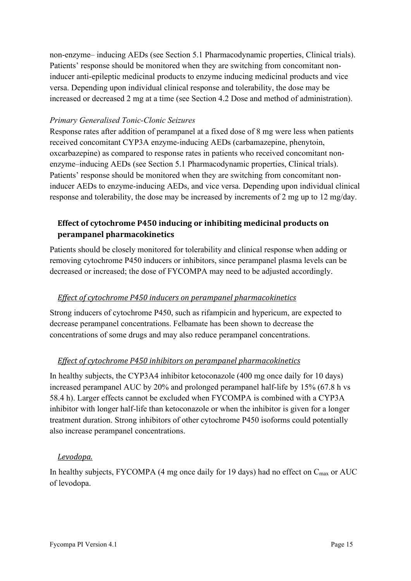non-enzyme– inducing AEDs (see Section [5.1](#page-21-0) Pharmacodynamic properties, Clinical trials). Patients' response should be monitored when they are switching from concomitant noninducer anti-epileptic medicinal products to enzyme inducing medicinal products and vice versa. Depending upon individual clinical response and tolerability, the dose may be increased or decreased 2 mg at a time (see Section [4.2](#page-3-0) Dose and method of administration).

#### *Primary Generalised Tonic-Clonic Seizures*

Response rates after addition of perampanel at a fixed dose of 8 mg were less when patients received concomitant CYP3A enzyme-inducing AEDs (carbamazepine, phenytoin, oxcarbazepine) as compared to response rates in patients who received concomitant nonenzyme–inducing AEDs (see Section [5.1](#page-21-0) Pharmacodynamic properties, Clinical trials). Patients' response should be monitored when they are switching from concomitant noninducer AEDs to enzyme-inducing AEDs, and vice versa. Depending upon individual clinical response and tolerability, the dose may be increased by increments of 2 mg up to 12 mg/day.

# **Effect of cytochrome P450 inducing or inhibiting medicinal products on perampanel pharmacokinetics**

Patients should be closely monitored for tolerability and clinical response when adding or removing cytochrome P450 inducers or inhibitors, since perampanel plasma levels can be decreased or increased; the dose of FYCOMPA may need to be adjusted accordingly.

### *Effect of cytochrome P450 inducers on perampanel pharmacokinetics*

Strong inducers of cytochrome P450, such as rifampicin and hypericum, are expected to decrease perampanel concentrations. Felbamate has been shown to decrease the concentrations of some drugs and may also reduce perampanel concentrations.

### *Effect of cytochrome P450 inhibitors on perampanel pharmacokinetics*

In healthy subjects, the CYP3A4 inhibitor ketoconazole (400 mg once daily for 10 days) increased perampanel AUC by 20% and prolonged perampanel half-life by 15% (67.8 h vs 58.4 h). Larger effects cannot be excluded when FYCOMPA is combined with a CYP3A inhibitor with longer half-life than ketoconazole or when the inhibitor is given for a longer treatment duration. Strong inhibitors of other cytochrome P450 isoforms could potentially also increase perampanel concentrations.

### *Levodopa.*

In healthy subjects, FYCOMPA (4 mg once daily for 19 days) had no effect on  $C_{\text{max}}$  or AUC of levodopa.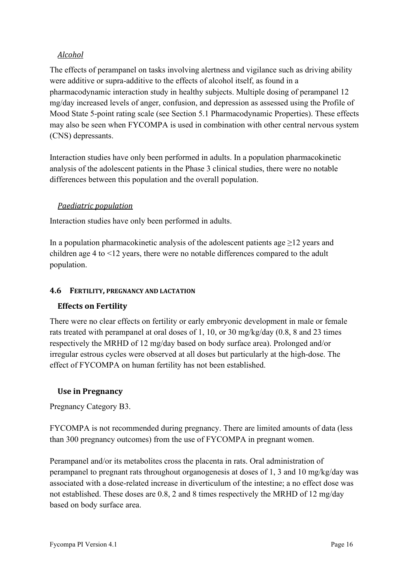## *Alcohol*

The effects of perampanel on tasks involving alertness and vigilance such as driving ability were additive or supra-additive to the effects of alcohol itself, as found in a pharmacodynamic interaction study in healthy subjects. Multiple dosing of perampanel 12 mg/day increased levels of anger, confusion, and depression as assessed using the Profile of Mood State 5-point rating scale (see Section [5.1](#page-21-0) Pharmacodynamic Properties). These effects may also be seen when FYCOMPA is used in combination with other central nervous system (CNS) depressants.

Interaction studies have only been performed in adults. In a population pharmacokinetic analysis of the adolescent patients in the Phase 3 clinical studies, there were no notable differences between this population and the overall population.

### *Paediatric population*

Interaction studies have only been performed in adults.

In a population pharmacokinetic analysis of the adolescent patients age  $\geq$ 12 years and children age 4 to <12 years, there were no notable differences compared to the adult population.

#### <span id="page-15-0"></span>**4.6 FERTILITY, PREGNANCY AND LACTATION**

### **Effects on Fertility**

There were no clear effects on fertility or early embryonic development in male or female rats treated with perampanel at oral doses of 1, 10, or 30 mg/kg/day (0.8, 8 and 23 times respectively the MRHD of 12 mg/day based on body surface area). Prolonged and/or irregular estrous cycles were observed at all doses but particularly at the high-dose. The effect of FYCOMPA on human fertility has not been established.

### **Use in Pregnancy**

Pregnancy Category B3.

FYCOMPA is not recommended during pregnancy. There are limited amounts of data (less than 300 pregnancy outcomes) from the use of FYCOMPA in pregnant women.

Perampanel and/or its metabolites cross the placenta in rats. Oral administration of perampanel to pregnant rats throughout organogenesis at doses of 1, 3 and 10 mg/kg/day was associated with a dose-related increase in diverticulum of the intestine; a no effect dose was not established. These doses are 0.8, 2 and 8 times respectively the MRHD of 12 mg/day based on body surface area.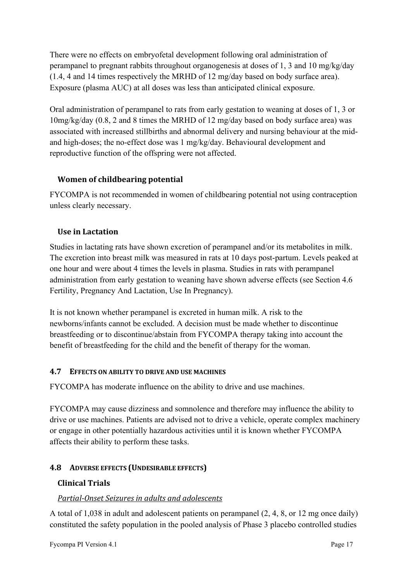There were no effects on embryofetal development following oral administration of perampanel to pregnant rabbits throughout organogenesis at doses of 1, 3 and 10 mg/kg/day (1.4, 4 and 14 times respectively the MRHD of 12 mg/day based on body surface area). Exposure (plasma AUC) at all doses was less than anticipated clinical exposure.

Oral administration of perampanel to rats from early gestation to weaning at doses of 1, 3 or 10mg/kg/day (0.8, 2 and 8 times the MRHD of 12 mg/day based on body surface area) was associated with increased stillbirths and abnormal delivery and nursing behaviour at the midand high-doses; the no-effect dose was 1 mg/kg/day. Behavioural development and reproductive function of the offspring were not affected.

# **Women of childbearing potential**

FYCOMPA is not recommended in women of childbearing potential not using contraception unless clearly necessary.

# **Use in Lactation**

Studies in lactating rats have shown excretion of perampanel and/or its metabolites in milk. The excretion into breast milk was measured in rats at 10 days post-partum. Levels peaked at one hour and were about 4 times the levels in plasma. Studies in rats with perampanel administration from early gestation to weaning have shown adverse effects (see Section [4.6](#page-15-0) Fertility, Pregnancy And Lactation, Use In Pregnancy).

It is not known whether perampanel is excreted in human milk. A risk to the newborns/infants cannot be excluded. A decision must be made whether to discontinue breastfeeding or to discontinue/abstain from FYCOMPA therapy taking into account the benefit of breastfeeding for the child and the benefit of therapy for the woman.

# **4.7 EFFECTS ON ABILITY TO DRIVE AND USE MACHINES**

FYCOMPA has moderate influence on the ability to drive and use machines.

FYCOMPA may cause dizziness and somnolence and therefore may influence the ability to drive or use machines. Patients are advised not to drive a vehicle, operate complex machinery or engage in other potentially hazardous activities until it is known whether FYCOMPA affects their ability to perform these tasks.

# <span id="page-16-0"></span>**4.8 ADVERSE EFFECTS (UNDESIRABLE EFFECTS)**

# **Clinical Trials**

# *Partial-Onset Seizures in adults and adolescents*

A total of 1,038 in adult and adolescent patients on perampanel (2, 4, 8, or 12 mg once daily) constituted the safety population in the pooled analysis of Phase 3 placebo controlled studies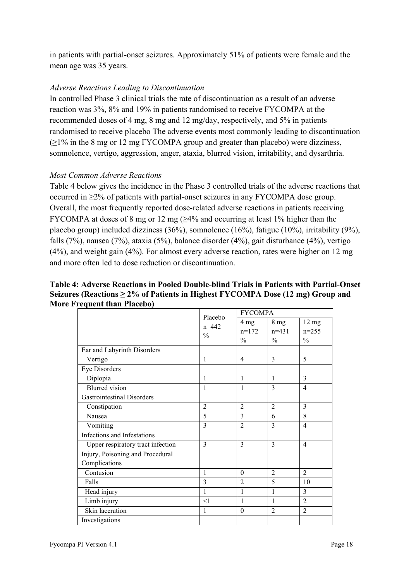in patients with partial-onset seizures. Approximately 51% of patients were female and the mean age was 35 years.

### *Adverse Reactions Leading to Discontinuation*

In controlled Phase 3 clinical trials the rate of discontinuation as a result of an adverse reaction was 3%, 8% and 19% in patients randomised to receive FYCOMPA at the recommended doses of 4 mg, 8 mg and 12 mg/day, respectively, and 5% in patients randomised to receive placebo The adverse events most commonly leading to discontinuation  $(\geq 1\%$  in the 8 mg or 12 mg FYCOMPA group and greater than placebo) were dizziness, somnolence, vertigo, aggression, anger, ataxia, blurred vision, irritability, and dysarthria.

#### *Most Common Adverse Reactions*

[Table 4](#page-17-0) below gives the incidence in the Phase 3 controlled trials of the adverse reactions that occurred in ≥2% of patients with partial-onset seizures in any FYCOMPA dose group. Overall, the most frequently reported dose-related adverse reactions in patients receiving FYCOMPA at doses of 8 mg or 12 mg  $\geq 4\%$  and occurring at least 1% higher than the placebo group) included dizziness (36%), somnolence (16%), fatigue (10%), irritability (9%), falls (7%), nausea (7%), ataxia (5%), balance disorder (4%), gait disturbance (4%), vertigo (4%), and weight gain (4%). For almost every adverse reaction, rates were higher on 12 mg and more often led to dose reduction or discontinuation.

#### <span id="page-17-0"></span>**Table 4: Adverse Reactions in Pooled Double-blind Trials in Patients with Partial-Onset Seizures (Reactions ≥ 2% of Patients in Highest FYCOMPA Dose (12 mg) Group and More Frequent than Placebo)**

|                                   | Placebo                    | <b>FYCOMPA</b>                             |                                             |                                             |
|-----------------------------------|----------------------------|--------------------------------------------|---------------------------------------------|---------------------------------------------|
|                                   | $n = 442$<br>$\frac{0}{0}$ | $4 \text{ mg}$<br>$n=172$<br>$\frac{0}{0}$ | 8 <sub>mg</sub><br>$n=431$<br>$\frac{0}{0}$ | $12 \text{ mg}$<br>$n=255$<br>$\frac{0}{0}$ |
| Ear and Labyrinth Disorders       |                            |                                            |                                             |                                             |
| Vertigo                           | 1                          | $\overline{4}$                             | $\mathcal{E}$                               | 5                                           |
| <b>Eye Disorders</b>              |                            |                                            |                                             |                                             |
| Diplopia                          | 1                          | 1                                          | 1                                           | 3                                           |
| Blurred vision                    | 1                          | 1                                          | 3                                           | 4                                           |
| <b>Gastrointestinal Disorders</b> |                            |                                            |                                             |                                             |
| Constipation                      | $\overline{2}$             | $\overline{2}$                             | $\overline{2}$                              | 3                                           |
| Nausea                            | 5                          | $\overline{3}$                             | 6                                           | 8                                           |
| Vomiting                          | 3                          | $\overline{2}$                             | $\mathcal{E}$                               | 4                                           |
| Infections and Infestations       |                            |                                            |                                             |                                             |
| Upper respiratory tract infection | 3                          | 3                                          | 3                                           | $\overline{4}$                              |
| Injury, Poisoning and Procedural  |                            |                                            |                                             |                                             |
| Complications                     |                            |                                            |                                             |                                             |
| Contusion                         | 1                          | $\theta$                                   | $\overline{2}$                              | $\overline{2}$                              |
| Falls                             | $\overline{3}$             | $\overline{2}$                             | 5                                           | 10                                          |
| Head injury                       | $\mathbf{1}$               | $\mathbf{1}$                               | 1                                           | 3                                           |
| Limb injury                       | <1                         | 1                                          | 1                                           | $\overline{2}$                              |
| Skin laceration                   | 1                          | $\theta$                                   | $\overline{2}$                              | $\overline{2}$                              |
| Investigations                    |                            |                                            |                                             |                                             |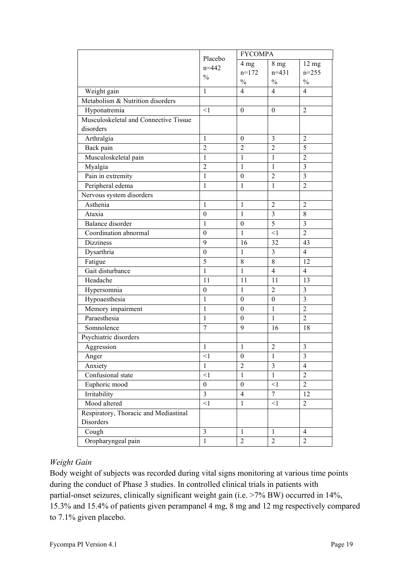|                                       |                  | <b>FYCOMPA</b>   |                  |                         |
|---------------------------------------|------------------|------------------|------------------|-------------------------|
|                                       | Placebo          | $4 \text{ mg}$   | 8 <sub>mg</sub>  | 12 <sub>mg</sub>        |
|                                       | $n = 442$        | $n=172$          | $n=431$          | $n = 255$               |
|                                       | $\frac{0}{0}$    | $\frac{0}{0}$    | $\frac{0}{0}$    | $\%$                    |
| Weight gain                           | 1                | 4                | $\overline{4}$   | $\overline{4}$          |
| Metabolism & Nutrition disorders      |                  |                  |                  |                         |
| Hyponatremia                          | $\leq$ 1         | $\mathbf{0}$     | $\mathbf{0}$     | $\overline{2}$          |
| Musculoskeletal and Connective Tissue |                  |                  |                  |                         |
| disorders                             |                  |                  |                  |                         |
| Arthralgia                            | 1                | $\boldsymbol{0}$ | 3                | $\overline{2}$          |
| Back pain                             | $\overline{2}$   | $\overline{2}$   | $\overline{2}$   | $\overline{5}$          |
| Musculoskeletal pain                  | 1                | 1                | 1                | $\overline{2}$          |
| Myalgia                               | $\overline{2}$   | $\mathbf{1}$     | 1                | $\overline{3}$          |
| Pain in extremity                     | $\mathbf{1}$     | $\boldsymbol{0}$ | $\overline{2}$   | $\overline{3}$          |
| Peripheral edema                      | 1                | $\mathbf{1}$     | 1                | $\overline{2}$          |
| Nervous system disorders              |                  |                  |                  |                         |
| Asthenia                              | 1                | $\mathbf{1}$     | $\overline{2}$   | $\overline{2}$          |
| Ataxia                                | $\boldsymbol{0}$ | $\mathbf{1}$     | $\overline{3}$   | $\,$ 8 $\,$             |
| <b>Balance</b> disorder               | 1                | $\boldsymbol{0}$ | $\overline{5}$   | $\overline{\mathbf{3}}$ |
| Coordination abnormal                 | $\boldsymbol{0}$ | $\mathbf{1}$     | $\leq$ 1         | $\overline{2}$          |
| <b>Dizziness</b>                      | 9                | 16               | 32               | 43                      |
| Dysarthria                            | $\boldsymbol{0}$ | $\mathbf{1}$     | 3                | $\overline{4}$          |
| Fatigue                               | 5                | 8                | 8                | 12                      |
| Gait disturbance                      | $\mathbf{1}$     | $\mathbf{1}$     | $\overline{4}$   | $\overline{4}$          |
| Headache                              | 11               | 11               | 11               | 13                      |
| Hypersomnia                           | $\boldsymbol{0}$ | $\mathbf{1}$     | $\overline{2}$   | $\overline{\mathbf{3}}$ |
| Hypoaesthesia                         | $\mathbf{1}$     | $\boldsymbol{0}$ | $\boldsymbol{0}$ | $\overline{3}$          |
| Memory impairment                     | $\mathbf{1}$     | $\boldsymbol{0}$ | $\mathbf{1}$     | $\overline{2}$          |
| Paraesthesia                          | 1                | $\theta$         | 1                | $\overline{2}$          |
| Somnolence                            | $\tau$           | 9                | 16               | 18                      |
| Psychiatric disorders                 |                  |                  |                  |                         |
| Aggression                            | 1                | 1                | $\overline{2}$   | $\mathfrak{Z}$          |
| Anger                                 | $<$ 1            | $\boldsymbol{0}$ | $\mathbf{1}$     | $\overline{3}$          |
| Anxiety                               | $\mathbf{1}$     | $\overline{2}$   | $\overline{3}$   | $\overline{4}$          |
| Confusional state                     | $\leq$ 1         | $\mathbf{1}$     | $\mathbf{1}$     | $\overline{2}$          |
| Euphoric mood                         | $\boldsymbol{0}$ | $\boldsymbol{0}$ | $<1\,$           | $\boldsymbol{2}$        |
| Irritability                          | $\overline{3}$   | $\overline{4}$   | $\overline{7}$   | 12                      |
| Mood altered                          | $\leq$ 1         | $\mathbf{1}$     | <1               | $\overline{2}$          |
| Respiratory, Thoracic and Mediastinal |                  |                  |                  |                         |
| Disorders                             |                  |                  |                  |                         |
| Cough                                 | 3                | $\mathbf{1}$     | $\mathbf{1}$     | $\overline{4}$          |
| Oropharyngeal pain                    | $\mathbf{1}$     | $\overline{c}$   | $\overline{2}$   | $\overline{2}$          |

# *Weight Gain*

Body weight of subjects was recorded during vital signs monitoring at various time points during the conduct of Phase 3 studies. In controlled clinical trials in patients with partial-onset seizures, clinically significant weight gain (i.e. >7% BW) occurred in 14%, 15.3% and 15.4% of patients given perampanel 4 mg, 8 mg and 12 mg respectively compared to 7.1% given placebo.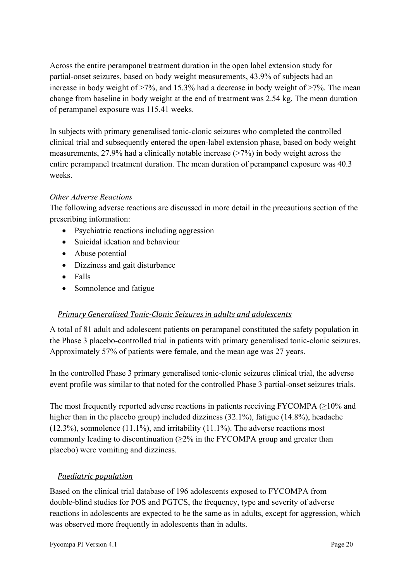Across the entire perampanel treatment duration in the open label extension study for partial-onset seizures, based on body weight measurements, 43.9% of subjects had an increase in body weight of  $>7\%$ , and 15.3% had a decrease in body weight of  $>7\%$ . The mean change from baseline in body weight at the end of treatment was 2.54 kg. The mean duration of perampanel exposure was 115.41 weeks.

In subjects with primary generalised tonic-clonic seizures who completed the controlled clinical trial and subsequently entered the open-label extension phase, based on body weight measurements, 27.9% had a clinically notable increase (>7%) in body weight across the entire perampanel treatment duration. The mean duration of perampanel exposure was 40.3 weeks.

## *Other Adverse Reactions*

The following adverse reactions are discussed in more detail in the precautions section of the prescribing information:

- Psychiatric reactions including aggression
- Suicidal ideation and behaviour
- Abuse potential
- Dizziness and gait disturbance
- Falls
- Somnolence and fatigue

### *Primary Generalised Tonic-Clonic Seizures in adults and adolescents*

A total of 81 adult and adolescent patients on perampanel constituted the safety population in the Phase 3 placebo-controlled trial in patients with primary generalised tonic-clonic seizures. Approximately 57% of patients were female, and the mean age was 27 years.

In the controlled Phase 3 primary generalised tonic-clonic seizures clinical trial, the adverse event profile was similar to that noted for the controlled Phase 3 partial-onset seizures trials.

The most frequently reported adverse reactions in patients receiving FYCOMPA  $(\geq)10\%$  and higher than in the placebo group) included dizziness (32.1%), fatigue (14.8%), headache  $(12.3\%)$ , somnolence  $(11.1\%)$ , and irritability  $(11.1\%)$ . The adverse reactions most commonly leading to discontinuation  $(\geq 2\%$  in the FYCOMPA group and greater than placebo) were vomiting and dizziness.

### *Paediatric population*

Based on the clinical trial database of 196 adolescents exposed to FYCOMPA from double-blind studies for POS and PGTCS, the frequency, type and severity of adverse reactions in adolescents are expected to be the same as in adults, except for aggression, which was observed more frequently in adolescents than in adults.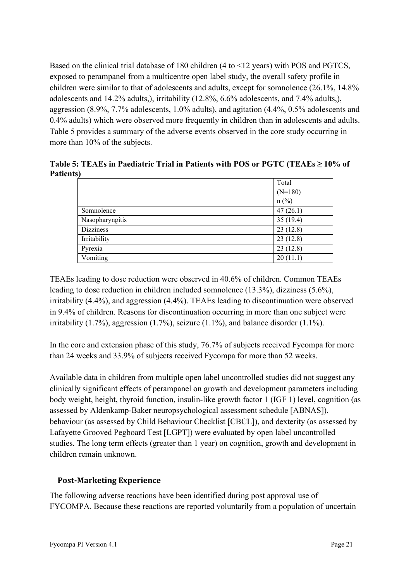Based on the clinical trial database of 180 children (4 to <12 years) with POS and PGTCS, exposed to perampanel from a multicentre open label study, the overall safety profile in children were similar to that of adolescents and adults, except for somnolence (26.1%, 14.8% adolescents and 14.2% adults,), irritability (12.8%, 6.6% adolescents, and 7.4% adults,), aggression (8.9%, 7.7% adolescents, 1.0% adults), and agitation (4.4%, 0.5% adolescents and 0.4% adults) which were observed more frequently in children than in adolescents and adults. [Table 5](#page-20-0) provides a summary of the adverse events observed in the core study occurring in more than 10% of the subjects.

<span id="page-20-0"></span>**Table 5: TEAEs in Paediatric Trial in Patients with POS or PGTC (TEAEs ≥ 10% of Patients)**

|                  | Total     |
|------------------|-----------|
|                  | $(N=180)$ |
|                  | $n$ (%)   |
| Somnolence       | 47(26.1)  |
| Nasopharyngitis  | 35(19.4)  |
| <b>Dizziness</b> | 23(12.8)  |
| Irritability     | 23(12.8)  |
| Pyrexia          | 23(12.8)  |
| Vomiting         | 20(11.1)  |

TEAEs leading to dose reduction were observed in 40.6% of children. Common TEAEs leading to dose reduction in children included somnolence (13.3%), dizziness (5.6%), irritability (4.4%), and aggression (4.4%). TEAEs leading to discontinuation were observed in 9.4% of children. Reasons for discontinuation occurring in more than one subject were irritability  $(1.7\%)$ , aggression  $(1.7\%)$ , seizure  $(1.1\%)$ , and balance disorder  $(1.1\%)$ .

In the core and extension phase of this study, 76.7% of subjects received Fycompa for more than 24 weeks and 33.9% of subjects received Fycompa for more than 52 weeks.

Available data in children from multiple open label uncontrolled studies did not suggest any clinically significant effects of perampanel on growth and development parameters including body weight, height, thyroid function, insulin-like growth factor 1 (IGF 1) level, cognition (as assessed by Aldenkamp-Baker neuropsychological assessment schedule [ABNAS]), behaviour (as assessed by Child Behaviour Checklist [CBCL]), and dexterity (as assessed by Lafayette Grooved Pegboard Test [LGPT]) were evaluated by open label uncontrolled studies. The long term effects (greater than 1 year) on cognition, growth and development in children remain unknown.

# **Post-Marketing Experience**

The following adverse reactions have been identified during post approval use of FYCOMPA. Because these reactions are reported voluntarily from a population of uncertain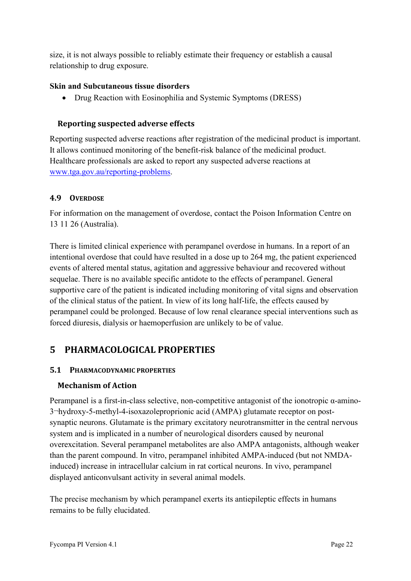size, it is not always possible to reliably estimate their frequency or establish a causal relationship to drug exposure.

### **Skin and Subcutaneous tissue disorders**

• Drug Reaction with Eosinophilia and Systemic Symptoms (DRESS)

## **Reporting suspected adverse effects**

Reporting suspected adverse reactions after registration of the medicinal product is important. It allows continued monitoring of the benefit-risk balance of the medicinal product. Healthcare professionals are asked to report any suspected adverse reactions at [www.tga.gov.au/reporting-problems.](http://www.tga.gov.au/reporting-problems)

## **4.9 OVERDOSE**

For information on the management of overdose, contact the Poison Information Centre on 13 11 26 (Australia).

There is limited clinical experience with perampanel overdose in humans. In a report of an intentional overdose that could have resulted in a dose up to 264 mg, the patient experienced events of altered mental status, agitation and aggressive behaviour and recovered without sequelae. There is no available specific antidote to the effects of perampanel. General supportive care of the patient is indicated including monitoring of vital signs and observation of the clinical status of the patient. In view of its long half-life, the effects caused by perampanel could be prolonged. Because of low renal clearance special interventions such as forced diuresis, dialysis or haemoperfusion are unlikely to be of value.

# **5 PHARMACOLOGICAL PROPERTIES**

# <span id="page-21-0"></span>**5.1 PHARMACODYNAMIC PROPERTIES**

# **Mechanism of Action**

Perampanel is a first-in-class selective, non-competitive antagonist of the ionotropic α-amino-3¬hydroxy-5-methyl-4-isoxazoleproprionic acid (AMPA) glutamate receptor on postsynaptic neurons. Glutamate is the primary excitatory neurotransmitter in the central nervous system and is implicated in a number of neurological disorders caused by neuronal overexcitation. Several perampanel metabolites are also AMPA antagonists, although weaker than the parent compound. In vitro, perampanel inhibited AMPA-induced (but not NMDAinduced) increase in intracellular calcium in rat cortical neurons. In vivo, perampanel displayed anticonvulsant activity in several animal models.

The precise mechanism by which perampanel exerts its antiepileptic effects in humans remains to be fully elucidated.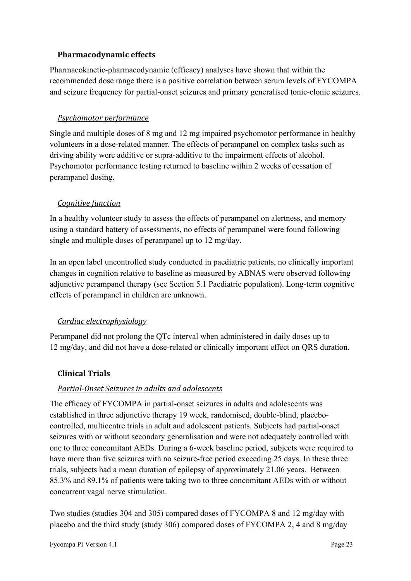### **Pharmacodynamic effects**

Pharmacokinetic-pharmacodynamic (efficacy) analyses have shown that within the recommended dose range there is a positive correlation between serum levels of FYCOMPA and seizure frequency for partial-onset seizures and primary generalised tonic-clonic seizures.

## *Psychomotor performance*

Single and multiple doses of 8 mg and 12 mg impaired psychomotor performance in healthy volunteers in a dose-related manner. The effects of perampanel on complex tasks such as driving ability were additive or supra-additive to the impairment effects of alcohol. Psychomotor performance testing returned to baseline within 2 weeks of cessation of perampanel dosing.

## *Cognitive function*

In a healthy volunteer study to assess the effects of perampanel on alertness, and memory using a standard battery of assessments, no effects of perampanel were found following single and multiple doses of perampanel up to 12 mg/day.

In an open label uncontrolled study conducted in paediatric patients, no clinically important changes in cognition relative to baseline as measured by ABNAS were observed following adjunctive perampanel therapy (see Section [5.1](#page-21-0) Paediatric population). Long-term cognitive effects of perampanel in children are unknown.

# *Cardiac electrophysiology*

Perampanel did not prolong the QTc interval when administered in daily doses up to 12 mg/day, and did not have a dose-related or clinically important effect on QRS duration.

### **Clinical Trials**

### *Partial-Onset Seizures in adults and adolescents*

The efficacy of FYCOMPA in partial-onset seizures in adults and adolescents was established in three adjunctive therapy 19 week, randomised, double-blind, placebocontrolled, multicentre trials in adult and adolescent patients. Subjects had partial-onset seizures with or without secondary generalisation and were not adequately controlled with one to three concomitant AEDs. During a 6-week baseline period, subjects were required to have more than five seizures with no seizure-free period exceeding 25 days. In these three trials, subjects had a mean duration of epilepsy of approximately 21.06 years. Between 85.3% and 89.1% of patients were taking two to three concomitant AEDs with or without concurrent vagal nerve stimulation.

Two studies (studies 304 and 305) compared doses of FYCOMPA 8 and 12 mg/day with placebo and the third study (study 306) compared doses of FYCOMPA 2, 4 and 8 mg/day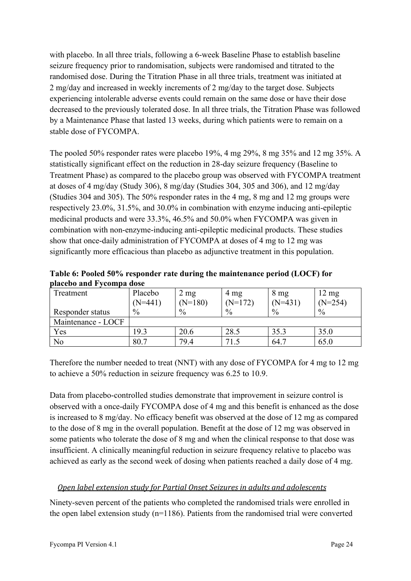with placebo. In all three trials, following a 6-week Baseline Phase to establish baseline seizure frequency prior to randomisation, subjects were randomised and titrated to the randomised dose. During the Titration Phase in all three trials, treatment was initiated at 2 mg/day and increased in weekly increments of 2 mg/day to the target dose. Subjects experiencing intolerable adverse events could remain on the same dose or have their dose decreased to the previously tolerated dose. In all three trials, the Titration Phase was followed by a Maintenance Phase that lasted 13 weeks, during which patients were to remain on a stable dose of FYCOMPA.

The pooled 50% responder rates were placebo 19%, 4 mg 29%, 8 mg 35% and 12 mg 35%. A statistically significant effect on the reduction in 28-day seizure frequency (Baseline to Treatment Phase) as compared to the placebo group was observed with FYCOMPA treatment at doses of 4 mg/day (Study 306), 8 mg/day (Studies 304, 305 and 306), and 12 mg/day (Studies 304 and 305). The 50% responder rates in the 4 mg, 8 mg and 12 mg groups were respectively 23.0%, 31.5%, and 30.0% in combination with enzyme inducing anti-epileptic medicinal products and were 33.3%, 46.5% and 50.0% when FYCOMPA was given in combination with non-enzyme-inducing anti-epileptic medicinal products. These studies show that once-daily administration of FYCOMPA at doses of 4 mg to 12 mg was significantly more efficacious than placebo as adjunctive treatment in this population.

**Table 6: Pooled 50% responder rate during the maintenance period (LOCF) for placebo and Fycompa dose**

| Treatment          | Placebo       | $2 \text{ mg}$ | 4 mg          | $8 \text{ mg}$ | $12 \text{ mg}$ |
|--------------------|---------------|----------------|---------------|----------------|-----------------|
|                    | $(N=441)$     | $(N=180)$      | $(N=172)$     | $(N=431)$      | $(N=254)$       |
| Responder status   | $\frac{0}{0}$ | $\frac{0}{0}$  | $\frac{0}{0}$ | $\%$           | $\frac{0}{0}$   |
| Maintenance - LOCF |               |                |               |                |                 |
| Yes                | 19.3          | 20.6           | 28.5          | 35.3           | 35.0            |
| No                 | 80.7          | 79.4           | 71.5          | 64.7           | 65.0            |

Therefore the number needed to treat (NNT) with any dose of FYCOMPA for 4 mg to 12 mg to achieve a 50% reduction in seizure frequency was 6.25 to 10.9.

Data from placebo-controlled studies demonstrate that improvement in seizure control is observed with a once-daily FYCOMPA dose of 4 mg and this benefit is enhanced as the dose is increased to 8 mg/day. No efficacy benefit was observed at the dose of 12 mg as compared to the dose of 8 mg in the overall population. Benefit at the dose of 12 mg was observed in some patients who tolerate the dose of 8 mg and when the clinical response to that dose was insufficient. A clinically meaningful reduction in seizure frequency relative to placebo was achieved as early as the second week of dosing when patients reached a daily dose of 4 mg.

# *Open label extension study for Partial Onset Seizures in adults and adolescents*

Ninety-seven percent of the patients who completed the randomised trials were enrolled in the open label extension study (n=1186). Patients from the randomised trial were converted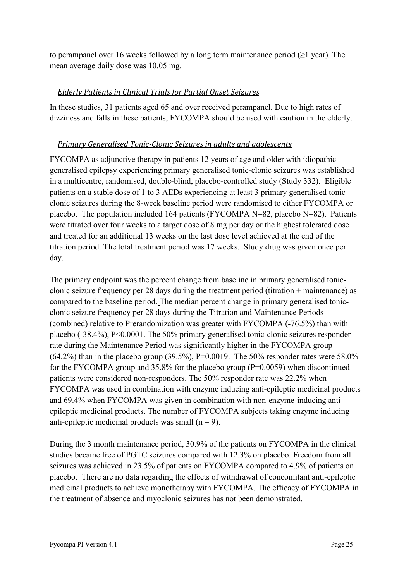to perampanel over 16 weeks followed by a long term maintenance period ( $\geq 1$  year). The mean average daily dose was 10.05 mg.

## *Elderly Patients in Clinical Trials for Partial Onset Seizures*

In these studies, 31 patients aged 65 and over received perampanel. Due to high rates of dizziness and falls in these patients, FYCOMPA should be used with caution in the elderly.

## *Primary Generalised Tonic-Clonic Seizures in adults and adolescents*

FYCOMPA as adjunctive therapy in patients 12 years of age and older with idiopathic generalised epilepsy experiencing primary generalised tonic-clonic seizures was established in a multicentre, randomised, double-blind, placebo-controlled study (Study 332). Eligible patients on a stable dose of 1 to 3 AEDs experiencing at least 3 primary generalised tonicclonic seizures during the 8-week baseline period were randomised to either FYCOMPA or placebo. The population included 164 patients (FYCOMPA N=82, placebo N=82). Patients were titrated over four weeks to a target dose of 8 mg per day or the highest tolerated dose and treated for an additional 13 weeks on the last dose level achieved at the end of the titration period. The total treatment period was 17 weeks. Study drug was given once per day.

The primary endpoint was the percent change from baseline in primary generalised tonicclonic seizure frequency per 28 days during the treatment period (titration + maintenance) as compared to the baseline period. The median percent change in primary generalised tonicclonic seizure frequency per 28 days during the Titration and Maintenance Periods (combined) relative to Prerandomization was greater with FYCOMPA (-76.5%) than with placebo (-38.4%), P<0.0001. The 50% primary generalised tonic-clonic seizures responder rate during the Maintenance Period was significantly higher in the FYCOMPA group (64.2%) than in the placebo group (39.5%), P=0.0019. The 50% responder rates were 58.0% for the FYCOMPA group and 35.8% for the placebo group (P=0.0059) when discontinued patients were considered non-responders. The 50% responder rate was 22.2% when FYCOMPA was used in combination with enzyme inducing anti-epileptic medicinal products and 69.4% when FYCOMPA was given in combination with non-enzyme-inducing antiepileptic medicinal products. The number of FYCOMPA subjects taking enzyme inducing anti-epileptic medicinal products was small  $(n = 9)$ .

During the 3 month maintenance period, 30.9% of the patients on FYCOMPA in the clinical studies became free of PGTC seizures compared with 12.3% on placebo. Freedom from all seizures was achieved in 23.5% of patients on FYCOMPA compared to 4.9% of patients on placebo. There are no data regarding the effects of withdrawal of concomitant anti-epileptic medicinal products to achieve monotherapy with FYCOMPA. The efficacy of FYCOMPA in the treatment of absence and myoclonic seizures has not been demonstrated.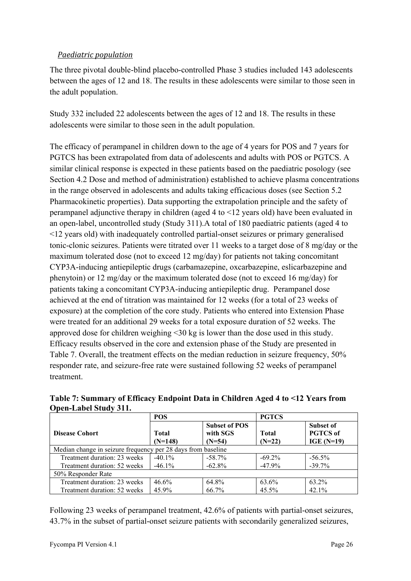## *Paediatric population*

The three pivotal double-blind placebo-controlled Phase 3 studies included 143 adolescents between the ages of 12 and 18. The results in these adolescents were similar to those seen in the adult population.

Study 332 included 22 adolescents between the ages of 12 and 18. The results in these adolescents were similar to those seen in the adult population.

The efficacy of perampanel in children down to the age of 4 years for POS and 7 years for PGTCS has been extrapolated from data of adolescents and adults with POS or PGTCS. A similar clinical response is expected in these patients based on the paediatric posology (see Section [4.2](#page-3-0) [Dose and method of administration\)](#page-3-0) established to achieve plasma concentrations in the range observed in adolescents and adults taking efficacious doses (see Section [5.2](#page-26-0) [Pharmacokinetic properties\)](#page-26-0). Data supporting the extrapolation principle and the safety of perampanel adjunctive therapy in children (aged 4 to <12 years old) have been evaluated in an open-label, uncontrolled study (Study 311).A total of 180 paediatric patients (aged 4 to <12 years old) with inadequately controlled partial-onset seizures or primary generalised tonic-clonic seizures. Patients were titrated over 11 weeks to a target dose of 8 mg/day or the maximum tolerated dose (not to exceed 12 mg/day) for patients not taking concomitant CYP3A-inducing antiepileptic drugs (carbamazepine, oxcarbazepine, eslicarbazepine and phenytoin) or 12 mg/day or the maximum tolerated dose (not to exceed 16 mg/day) for patients taking a concomitant CYP3A-inducing antiepileptic drug. Perampanel dose achieved at the end of titration was maintained for 12 weeks (for a total of 23 weeks of exposure) at the completion of the core study. Patients who entered into Extension Phase were treated for an additional 29 weeks for a total exposure duration of 52 weeks. The approved dose for children weighing <30 kg is lower than the dose used in this study. Efficacy results observed in the core and extension phase of the Study are presented in [Table](#page-25-0) 7. Overall, the treatment effects on the median reduction in seizure frequency, 50% responder rate, and seizure-free rate were sustained following 52 weeks of perampanel treatment.

<span id="page-25-0"></span>**Table 7: Summary of Efficacy Endpoint Data in Children Aged 4 to <12 Years from Open-Label Study 311.**

|                                                              | <b>POS</b>         |                                              | <b>PGTCS</b>             |                                                     |  |
|--------------------------------------------------------------|--------------------|----------------------------------------------|--------------------------|-----------------------------------------------------|--|
| <b>Disease Cohort</b>                                        | Total<br>$(N=148)$ | <b>Subset of POS</b><br>with SGS<br>$(N=54)$ | <b>Total</b><br>$(N=22)$ | <b>Subset of</b><br><b>PGTCS</b> of<br>IGE $(N=19)$ |  |
| Median change in seizure frequency per 28 days from baseline |                    |                                              |                          |                                                     |  |
| Treatment duration: 23 weeks                                 | $-40.1\%$          | $-58.7\%$                                    | $-69.2\%$                | $-56.5\%$                                           |  |
| Treatment duration: 52 weeks                                 | $-46.1\%$          | $-62.8\%$                                    | $-47.9%$                 | $-39.7%$                                            |  |
| 50% Responder Rate                                           |                    |                                              |                          |                                                     |  |
| Treatment duration: 23 weeks                                 | 46.6%              | 64.8%                                        | 63.6%                    | 63.2%                                               |  |
| Treatment duration: 52 weeks                                 | 45.9%              | 66.7%                                        | 45.5%                    | $42.1\%$                                            |  |

Following 23 weeks of perampanel treatment, 42.6% of patients with partial-onset seizures, 43.7% in the subset of partial-onset seizure patients with secondarily generalized seizures,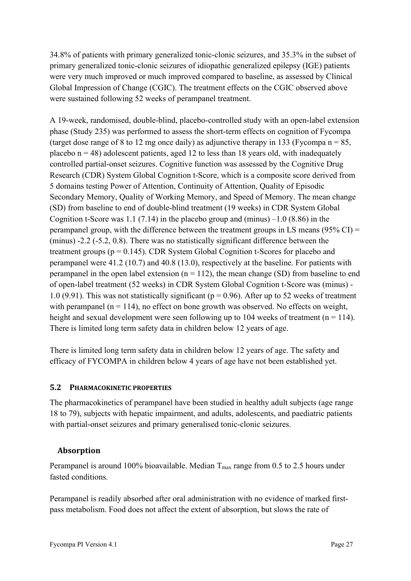34.8% of patients with primary generalized tonic-clonic seizures, and 35.3% in the subset of primary generalized tonic-clonic seizures of idiopathic generalized epilepsy (IGE) patients were very much improved or much improved compared to baseline, as assessed by Clinical Global Impression of Change (CGIC). The treatment effects on the CGIC observed above were sustained following 52 weeks of perampanel treatment.

A 19-week, randomised, double-blind, placebo-controlled study with an open-label extension phase (Study 235) was performed to assess the short-term effects on cognition of Fycompa (target dose range of 8 to 12 mg once daily) as adjunctive therapy in 133 (Fycompa  $n = 85$ , placebo  $n = 48$ ) adolescent patients, aged 12 to less than 18 years old, with inadequately controlled partial-onset seizures. Cognitive function was assessed by the Cognitive Drug Research (CDR) System Global Cognition t-Score, which is a composite score derived from 5 domains testing Power of Attention, Continuity of Attention, Quality of Episodic Secondary Memory, Quality of Working Memory, and Speed of Memory. The mean change (SD) from baseline to end of double-blind treatment (19 weeks) in CDR System Global Cognition t-Score was 1.1 (7.14) in the placebo group and (minus)  $-1.0$  (8.86) in the perampanel group, with the difference between the treatment groups in LS means ( $95\%$  CI) = (minus) -2.2 (-5.2, 0.8). There was no statistically significant difference between the treatment groups ( $p = 0.145$ ). CDR System Global Cognition t-Scores for placebo and perampanel were 41.2 (10.7) and 40.8 (13.0), respectively at the baseline. For patients with perampanel in the open label extension  $(n = 112)$ , the mean change (SD) from baseline to end of open-label treatment (52 weeks) in CDR System Global Cognition t-Score was (minus) - 1.0 (9.91). This was not statistically significant ( $p = 0.96$ ). After up to 52 weeks of treatment with perampanel ( $n = 114$ ), no effect on bone growth was observed. No effects on weight, height and sexual development were seen following up to 104 weeks of treatment ( $n = 114$ ). There is limited long term safety data in children below 12 years of age.

There is limited long term safety data in children below 12 years of age. The safety and efficacy of FYCOMPA in children below 4 years of age have not been established yet.

### <span id="page-26-0"></span>**5.2 PHARMACOKINETIC PROPERTIES**

The pharmacokinetics of perampanel have been studied in healthy adult subjects (age range 18 to 79), subjects with hepatic impairment, and adults, adolescents, and paediatric patients with partial-onset seizures and primary generalised tonic-clonic seizures.

# **Absorption**

Perampanel is around 100% bioavailable. Median  $T_{\text{max}}$  range from 0.5 to 2.5 hours under fasted conditions.

Perampanel is readily absorbed after oral administration with no evidence of marked firstpass metabolism. Food does not affect the extent of absorption, but slows the rate of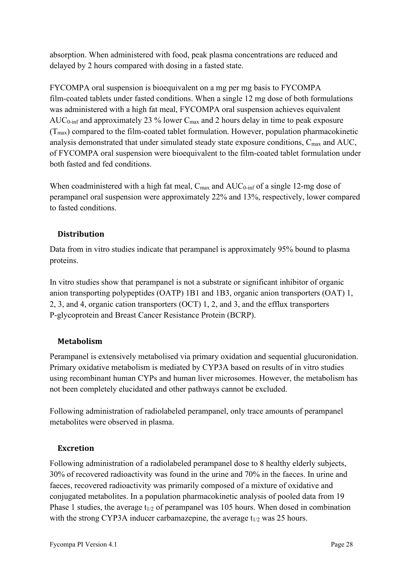absorption. When administered with food, peak plasma concentrations are reduced and delayed by 2 hours compared with dosing in a fasted state.

FYCOMPA oral suspension is bioequivalent on a mg per mg basis to FYCOMPA film-coated tablets under fasted conditions. When a single 12 mg dose of both formulations was administered with a high fat meal, FYCOMPA oral suspension achieves equivalent AUC<sub>0-inf</sub> and approximately 23 % lower  $C_{\text{max}}$  and 2 hours delay in time to peak exposure  $(T<sub>max</sub>)$  compared to the film-coated tablet formulation. However, population pharmacokinetic analysis demonstrated that under simulated steady state exposure conditions, C<sub>max</sub> and AUC, of FYCOMPA oral suspension were bioequivalent to the film-coated tablet formulation under both fasted and fed conditions.

When coadministered with a high fat meal,  $C_{\text{max}}$  and  $AUC_{0\text{-inf}}$  of a single 12-mg dose of perampanel oral suspension were approximately 22% and 13%, respectively, lower compared to fasted conditions.

# **Distribution**

Data from in vitro studies indicate that perampanel is approximately 95% bound to plasma proteins.

In vitro studies show that perampanel is not a substrate or significant inhibitor of organic anion transporting polypeptides (OATP) 1B1 and 1B3, organic anion transporters (OAT) 1, 2, 3, and 4, organic cation transporters (OCT) 1, 2, and 3, and the efflux transporters P-glycoprotein and Breast Cancer Resistance Protein (BCRP).

# **Metabolism**

Perampanel is extensively metabolised via primary oxidation and sequential glucuronidation. Primary oxidative metabolism is mediated by CYP3A based on results of in vitro studies using recombinant human CYPs and human liver microsomes. However, the metabolism has not been completely elucidated and other pathways cannot be excluded.

Following administration of radiolabeled perampanel, only trace amounts of perampanel metabolites were observed in plasma.

### **Excretion**

Following administration of a radiolabeled perampanel dose to 8 healthy elderly subjects, 30% of recovered radioactivity was found in the urine and 70% in the faeces. In urine and faeces, recovered radioactivity was primarily composed of a mixture of oxidative and conjugated metabolites. In a population pharmacokinetic analysis of pooled data from 19 Phase 1 studies, the average  $t_{1/2}$  of perampanel was 105 hours. When dosed in combination with the strong CYP3A inducer carbamazepine, the average  $t_{1/2}$  was 25 hours.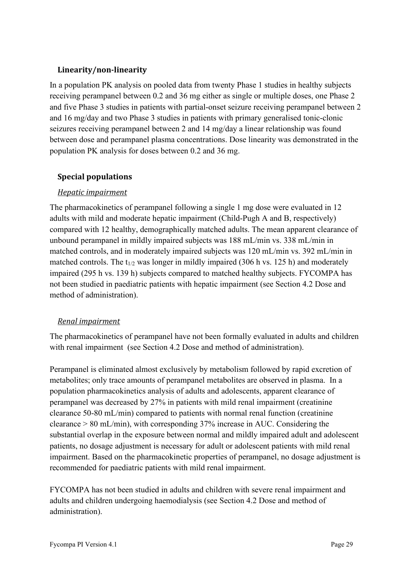## **Linearity/non-linearity**

In a population PK analysis on pooled data from twenty Phase 1 studies in healthy subjects receiving perampanel between 0.2 and 36 mg either as single or multiple doses, one Phase 2 and five Phase 3 studies in patients with partial-onset seizure receiving perampanel between 2 and 16 mg/day and two Phase 3 studies in patients with primary generalised tonic-clonic seizures receiving perampanel between 2 and 14 mg/day a linear relationship was found between dose and perampanel plasma concentrations. Dose linearity was demonstrated in the population PK analysis for doses between 0.2 and 36 mg.

## **Special populations**

## *Hepatic impairment*

The pharmacokinetics of perampanel following a single 1 mg dose were evaluated in 12 adults with mild and moderate hepatic impairment (Child-Pugh A and B, respectively) compared with 12 healthy, demographically matched adults. The mean apparent clearance of unbound perampanel in mildly impaired subjects was 188 mL/min vs. 338 mL/min in matched controls, and in moderately impaired subjects was 120 mL/min vs. 392 mL/min in matched controls. The t<sub>1/2</sub> was longer in mildly impaired (306 h vs. 125 h) and moderately impaired (295 h vs. 139 h) subjects compared to matched healthy subjects. FYCOMPA has not been studied in paediatric patients with hepatic impairment (see Section [4.2](#page-3-0) [Dose and](#page-3-0)  [method of administration\)](#page-3-0).

### *Renal impairment*

The pharmacokinetics of perampanel have not been formally evaluated in adults and children with renal impairment (see Section [4.2](#page-3-0) Dose and method of administration).

Perampanel is eliminated almost exclusively by metabolism followed by rapid excretion of metabolites; only trace amounts of perampanel metabolites are observed in plasma. In a population pharmacokinetics analysis of adults and adolescents, apparent clearance of perampanel was decreased by 27% in patients with mild renal impairment (creatinine clearance 50-80 mL/min) compared to patients with normal renal function (creatinine clearance > 80 mL/min), with corresponding 37% increase in AUC. Considering the substantial overlap in the exposure between normal and mildly impaired adult and adolescent patients, no dosage adjustment is necessary for adult or adolescent patients with mild renal impairment. Based on the pharmacokinetic properties of perampanel, no dosage adjustment is recommended for paediatric patients with mild renal impairment.

FYCOMPA has not been studied in adults and children with severe renal impairment and adults and children undergoing haemodialysis (see Section [4.2](#page-3-0) Dose and method of administration).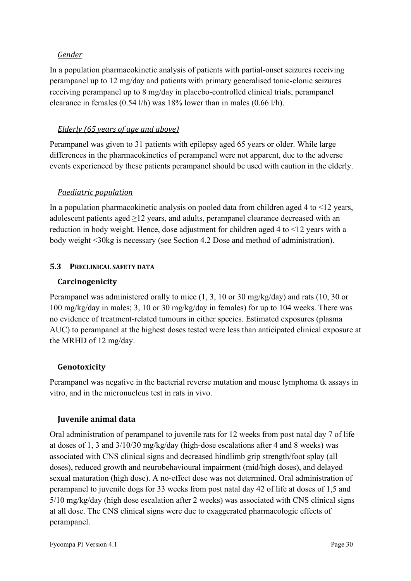### *Gender*

In a population pharmacokinetic analysis of patients with partial-onset seizures receiving perampanel up to 12 mg/day and patients with primary generalised tonic-clonic seizures receiving perampanel up to 8 mg/day in placebo-controlled clinical trials, perampanel clearance in females (0.54 l/h) was 18% lower than in males (0.66 l/h).

### *Elderly (65 years of age and above)*

Perampanel was given to 31 patients with epilepsy aged 65 years or older. While large differences in the pharmacokinetics of perampanel were not apparent, due to the adverse events experienced by these patients perampanel should be used with caution in the elderly.

### *Paediatric population*

In a population pharmacokinetic analysis on pooled data from children aged 4 to  $\leq$ 12 years, adolescent patients aged  $\geq$ 12 years, and adults, perampanel clearance decreased with an reduction in body weight. Hence, dose adjustment for children aged 4 to <12 years with a body weight <30kg is necessary (see Section [4.2](#page-3-0) [Dose and method of administration\)](#page-3-0).

## **5.3 PRECLINICAL SAFETY DATA**

### **Carcinogenicity**

Perampanel was administered orally to mice (1, 3, 10 or 30 mg/kg/day) and rats (10, 30 or 100 mg/kg/day in males; 3, 10 or 30 mg/kg/day in females) for up to 104 weeks. There was no evidence of treatment-related tumours in either species. Estimated exposures (plasma AUC) to perampanel at the highest doses tested were less than anticipated clinical exposure at the MRHD of 12 mg/day.

### **Genotoxicity**

Perampanel was negative in the bacterial reverse mutation and mouse lymphoma tk assays in vitro, and in the micronucleus test in rats in vivo.

# **Juvenile animal data**

Oral administration of perampanel to juvenile rats for 12 weeks from post natal day 7 of life at doses of 1, 3 and 3/10/30 mg/kg/day (high-dose escalations after 4 and 8 weeks) was associated with CNS clinical signs and decreased hindlimb grip strength/foot splay (all doses), reduced growth and neurobehavioural impairment (mid/high doses), and delayed sexual maturation (high dose). A no-effect dose was not determined. Oral administration of perampanel to juvenile dogs for 33 weeks from post natal day 42 of life at doses of 1,5 and 5/10 mg/kg/day (high dose escalation after 2 weeks) was associated with CNS clinical signs at all dose. The CNS clinical signs were due to exaggerated pharmacologic effects of perampanel.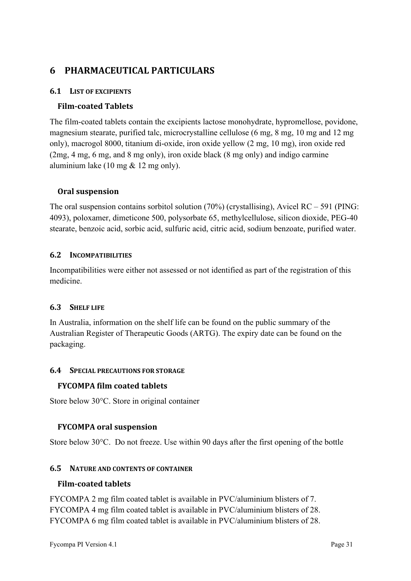# **6 PHARMACEUTICAL PARTICULARS**

## <span id="page-30-0"></span>**6.1 LIST OF EXCIPIENTS**

## **Film-coated Tablets**

The film-coated tablets contain the excipients lactose monohydrate, hypromellose, povidone, magnesium stearate, purified talc, microcrystalline cellulose (6 mg, 8 mg, 10 mg and 12 mg only), macrogol 8000, titanium di-oxide, iron oxide yellow (2 mg, 10 mg), iron oxide red (2mg, 4 mg, 6 mg, and 8 mg only), iron oxide black (8 mg only) and indigo carmine aluminium lake (10 mg & 12 mg only).

### **Oral suspension**

The oral suspension contains sorbitol solution  $(70%)$  (crystallising), Avicel RC – 591 (PING: 4093), poloxamer, dimeticone 500, polysorbate 65, methylcellulose, silicon dioxide, PEG-40 stearate, benzoic acid, sorbic acid, sulfuric acid, citric acid, sodium benzoate, purified water.

### **6.2 INCOMPATIBILITIES**

Incompatibilities were either not assessed or not identified as part of the registration of this medicine.

### **6.3 SHELF LIFE**

In Australia, information on the shelf life can be found on the public summary of the Australian Register of Therapeutic Goods (ARTG). The expiry date can be found on the packaging.

#### **6.4 SPECIAL PRECAUTIONS FOR STORAGE**

### **FYCOMPA film coated tablets**

Store below 30°C. Store in original container

### **FYCOMPA oral suspension**

Store below 30°C. Do not freeze. Use within 90 days after the first opening of the bottle

#### **6.5 NATURE AND CONTENTS OF CONTAINER**

#### **Film-coated tablets**

FYCOMPA 2 mg film coated tablet is available in PVC/aluminium blisters of 7. FYCOMPA 4 mg film coated tablet is available in PVC/aluminium blisters of 28. FYCOMPA 6 mg film coated tablet is available in PVC/aluminium blisters of 28.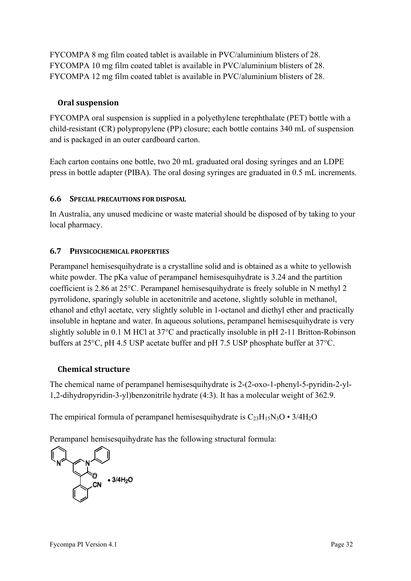FYCOMPA 8 mg film coated tablet is available in PVC/aluminium blisters of 28. FYCOMPA 10 mg film coated tablet is available in PVC/aluminium blisters of 28. FYCOMPA 12 mg film coated tablet is available in PVC/aluminium blisters of 28.

## **Oral suspension**

FYCOMPA oral suspension is supplied in a polyethylene terephthalate (PET) bottle with a child-resistant (CR) polypropylene (PP) closure; each bottle contains 340 mL of suspension and is packaged in an outer cardboard carton.

Each carton contains one bottle, two 20 mL graduated oral dosing syringes and an LDPE press in bottle adapter (PIBA). The oral dosing syringes are graduated in 0.5 mL increments.

## **6.6 SPECIAL PRECAUTIONS FOR DISPOSAL**

In Australia, any unused medicine or waste material should be disposed of by taking to your local pharmacy.

## **6.7 PHYSICOCHEMICAL PROPERTIES**

Perampanel hemisesquihydrate is a crystalline solid and is obtained as a white to yellowish white powder. The pKa value of perampanel hemisesquihydrate is 3.24 and the partition coefficient is 2.86 at 25°C. Perampanel hemisesquihydrate is freely soluble in N methyl 2 pyrrolidone, sparingly soluble in acetonitrile and acetone, slightly soluble in methanol, ethanol and ethyl acetate, very slightly soluble in 1-octanol and diethyl ether and practically insoluble in heptane and water. In aqueous solutions, perampanel hemisesquihydrate is very slightly soluble in 0.1 M HCl at 37°C and practically insoluble in pH 2-11 Britton-Robinson buffers at 25°C, pH 4.5 USP acetate buffer and pH 7.5 USP phosphate buffer at 37°C.

# **Chemical structure**

The chemical name of perampanel hemisesquihydrate is 2-(2-oxo-1-phenyl-5-pyridin-2-yl-1,2-dihydropyridin-3-yl)benzonitrile hydrate (4:3). It has a molecular weight of 362.9.

The empirical formula of perampanel hemisesquihydrate is  $C_{23}H_{15}N_3O \cdot 3/4H_2O$ 

Perampanel hemisesquihydrate has the following structural formula:

N Y Y  $\mathsf{o}$  $\cdot$  3/4H<sub>2</sub>C